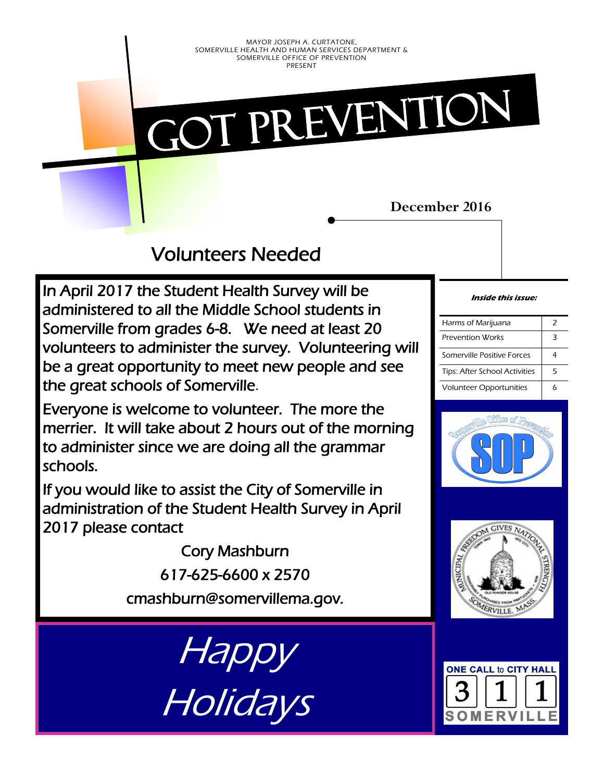Got prevention

### **December 2016**

Volunteers Needed

In April 2017 the Student Health Survey will be administered to all the Middle School students in Somerville from grades 6-8. We need at least 20 volunteers to administer the survey. Volunteering will be a great opportunity to meet new people and see the great schools of Somerville.

Everyone is welcome to volunteer. The more the merrier. It will take about 2 hours out of the morning to administer since we are doing all the grammar schools.

If you would like to assist the City of Somerville in administration of the Student Health Survey in April 2017 please contact

> Cory Mashburn 617-625-6600 x 2570 cmashburn@somervillema.gov.

**Disk Bullet Bullet Bullet Bullet Bullet Bullet Bullet Bullet Bullet Bullet Bullet Bullet Bullet Bullet Bullet**  $IBB$ Happy Holidays

#### **Inside this issue:**

| Harms of Marijuana             | 7 |
|--------------------------------|---|
| Prevention Works               | ₹ |
| Somerville Positive Forces     |   |
| Tips: After School Activities  | 5 |
| <b>Volunteer Opportunities</b> |   |





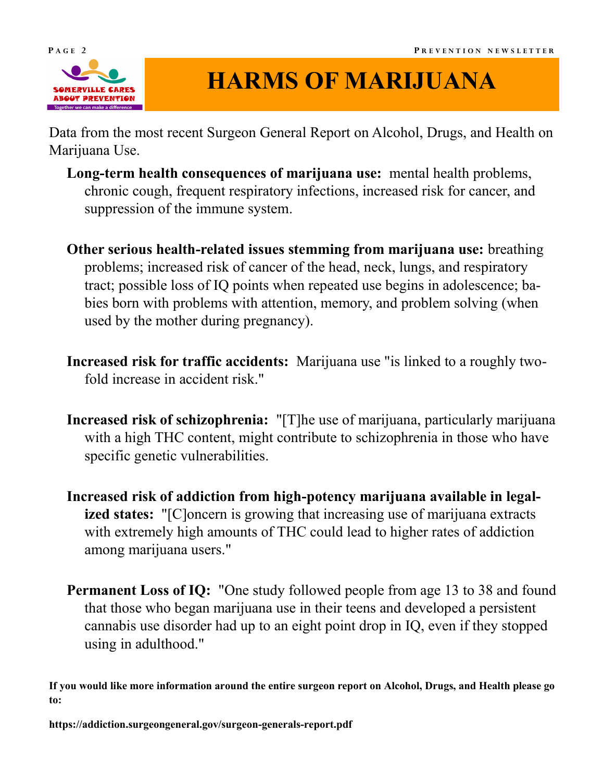

# **HARMS OF MARIJUANA**

Data from the most recent Surgeon General Report on Alcohol, Drugs, and Health on Marijuana Use.

- **Long-term health consequences of marijuana use:** mental health problems, chronic cough, frequent respiratory infections, increased risk for cancer, and suppression of the immune system.
- **Other serious health-related issues stemming from marijuana use:** breathing problems; increased risk of cancer of the head, neck, lungs, and respiratory tract; possible loss of IQ points when repeated use begins in adolescence; babies born with problems with attention, memory, and problem solving (when used by the mother during pregnancy).
- **Increased risk for traffic accidents:** Marijuana use "is linked to a roughly twofold increase in accident risk."
- **Increased risk of schizophrenia:** "[T]he use of marijuana, particularly marijuana with a high THC content, might contribute to schizophrenia in those who have specific genetic vulnerabilities.
- **Increased risk of addiction from high-potency marijuana available in legalized states:** "[C]oncern is growing that increasing use of marijuana extracts with extremely high amounts of THC could lead to higher rates of addiction among marijuana users."
- **Permanent Loss of IQ:** "One study followed people from age 13 to 38 and found that those who began marijuana use in their teens and developed a persistent cannabis use disorder had up to an eight point drop in IQ, even if they stopped using in adulthood."

**If you would like more information around the entire surgeon report on Alcohol, Drugs, and Health please go to:**

**https://addiction.surgeongeneral.gov/surgeon-generals-report.pdf**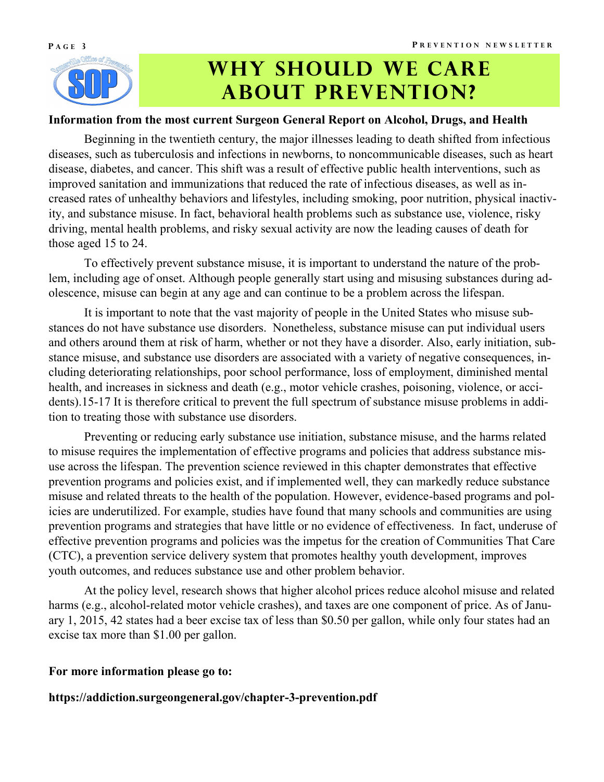

# WHY SHOULD WE CARE **ABOUT PREVENTION?**

### **Information from the most current Surgeon General Report on Alcohol, Drugs, and Health**

Beginning in the twentieth century, the major illnesses leading to death shifted from infectious diseases, such as tuberculosis and infections in newborns, to noncommunicable diseases, such as heart disease, diabetes, and cancer. This shift was a result of effective public health interventions, such as improved sanitation and immunizations that reduced the rate of infectious diseases, as well as increased rates of unhealthy behaviors and lifestyles, including smoking, poor nutrition, physical inactivity, and substance misuse. In fact, behavioral health problems such as substance use, violence, risky driving, mental health problems, and risky sexual activity are now the leading causes of death for those aged 15 to 24.

To effectively prevent substance misuse, it is important to understand the nature of the problem, including age of onset. Although people generally start using and misusing substances during adolescence, misuse can begin at any age and can continue to be a problem across the lifespan.

It is important to note that the vast majority of people in the United States who misuse substances do not have substance use disorders. Nonetheless, substance misuse can put individual users and others around them at risk of harm, whether or not they have a disorder. Also, early initiation, substance misuse, and substance use disorders are associated with a variety of negative consequences, including deteriorating relationships, poor school performance, loss of employment, diminished mental health, and increases in sickness and death (e.g., motor vehicle crashes, poisoning, violence, or accidents).15-17 It is therefore critical to prevent the full spectrum of substance misuse problems in addition to treating those with substance use disorders.

Preventing or reducing early substance use initiation, substance misuse, and the harms related to misuse requires the implementation of effective programs and policies that address substance misuse across the lifespan. The prevention science reviewed in this chapter demonstrates that effective prevention programs and policies exist, and if implemented well, they can markedly reduce substance misuse and related threats to the health of the population. However, evidence-based programs and policies are underutilized. For example, studies have found that many schools and communities are using prevention programs and strategies that have little or no evidence of effectiveness. In fact, underuse of effective prevention programs and policies was the impetus for the creation of Communities That Care (CTC), a prevention service delivery system that promotes healthy youth development, improves youth outcomes, and reduces substance use and other problem behavior.

At the policy level, research shows that higher alcohol prices reduce alcohol misuse and related harms (e.g., alcohol-related motor vehicle crashes), and taxes are one component of price. As of January 1, 2015, 42 states had a beer excise tax of less than \$0.50 per gallon, while only four states had an excise tax more than \$1.00 per gallon.

#### **For more information please go to:**

**https://addiction.surgeongeneral.gov/chapter-3-prevention.pdf**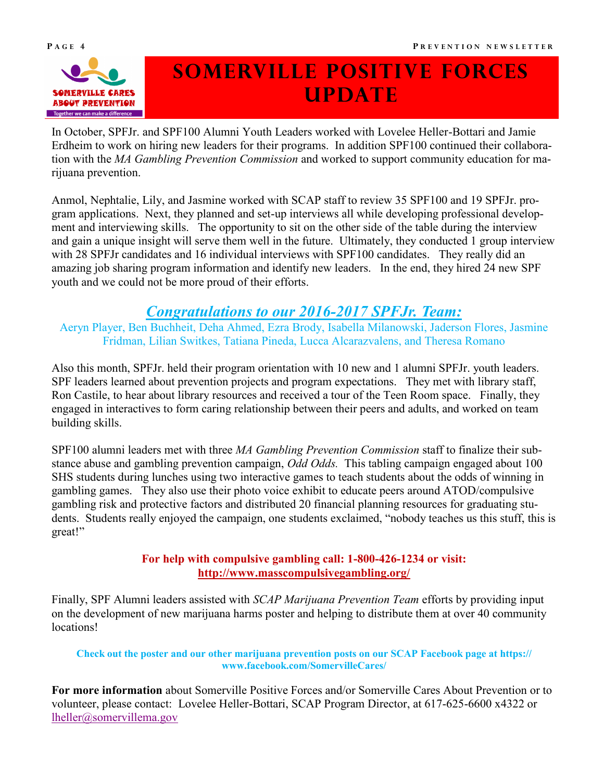

# **Somerville positive forces update**

In October, SPFJr. and SPF100 Alumni Youth Leaders worked with Lovelee Heller-Bottari and Jamie Erdheim to work on hiring new leaders for their programs. In addition SPF100 continued their collaboration with the *MA Gambling Prevention Commission* and worked to support community education for marijuana prevention.

Anmol, Nephtalie, Lily, and Jasmine worked with SCAP staff to review 35 SPF100 and 19 SPFJr. program applications. Next, they planned and set-up interviews all while developing professional development and interviewing skills. The opportunity to sit on the other side of the table during the interview and gain a unique insight will serve them well in the future. Ultimately, they conducted 1 group interview with 28 SPFJr candidates and 16 individual interviews with SPF100 candidates. They really did an amazing job sharing program information and identify new leaders. In the end, they hired 24 new SPF youth and we could not be more proud of their efforts.

## *Congratulations to our 2016-2017 SPFJr. Team:*

Aeryn Player, Ben Buchheit, Deha Ahmed, Ezra Brody, Isabella Milanowski, Jaderson Flores, Jasmine Fridman, Lilian Switkes, Tatiana Pineda, Lucca Alcarazvalens, and Theresa Romano

Also this month, SPFJr. held their program orientation with 10 new and 1 alumni SPFJr. youth leaders. SPF leaders learned about prevention projects and program expectations. They met with library staff, Ron Castile, to hear about library resources and received a tour of the Teen Room space. Finally, they engaged in interactives to form caring relationship between their peers and adults, and worked on team building skills.

SPF100 alumni leaders met with three *MA Gambling Prevention Commission* staff to finalize their substance abuse and gambling prevention campaign, *Odd Odds.* This tabling campaign engaged about 100 SHS students during lunches using two interactive games to teach students about the odds of winning in gambling games. They also use their photo voice exhibit to educate peers around ATOD/compulsive gambling risk and protective factors and distributed 20 financial planning resources for graduating students. Students really enjoyed the campaign, one students exclaimed, "nobody teaches us this stuff, this is great!"

### **For help with compulsive gambling call: 1-800-426-1234 or visit: <http://www.masscompulsivegambling.org/>**

Finally, SPF Alumni leaders assisted with *SCAP Marijuana Prevention Team* efforts by providing input on the development of new marijuana harms poster and helping to distribute them at over 40 community locations!

#### **Check out the poster and our other marijuana prevention posts on our SCAP Facebook page at https:// www.facebook.com/SomervilleCares/**

**For more information** about Somerville Positive Forces and/or Somerville Cares About Prevention or to volunteer, please contact: Lovelee Heller-Bottari, SCAP Program Director, at 617-625-6600 x4322 or [lheller@somervillema.gov](mailto:lheller@somervillema.gov)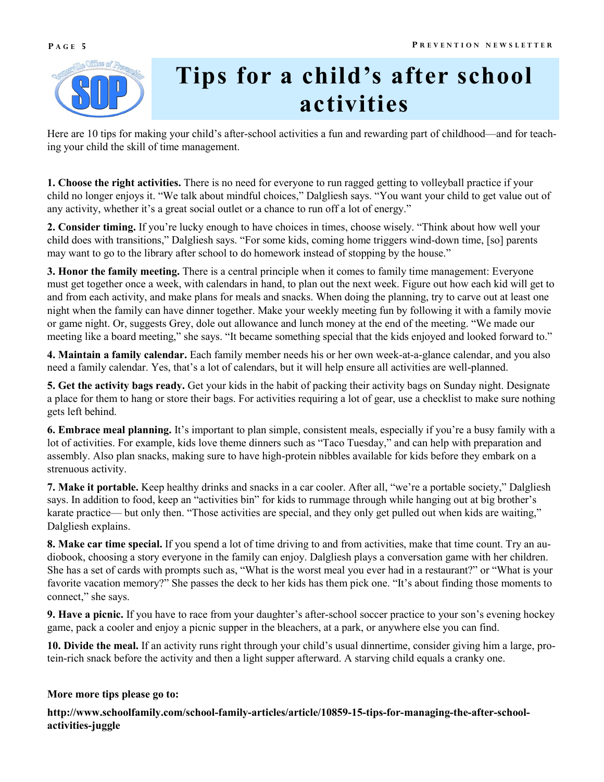



# **Tips for a child's after school activities**

Here are 10 tips for making your child's after-school activities a fun and rewarding part of childhood—and for teaching your child the skill of time management.

**1. Choose the right activities.** There is no need for everyone to run ragged getting to volleyball practice if your child no longer enjoys it. "We talk about mindful choices," Dalgliesh says. "You want your child to get value out of any activity, whether it's a great social outlet or a chance to run off a lot of energy."

**2. Consider timing.** If you're lucky enough to have choices in times, choose wisely. "Think about how well your child does with transitions," Dalgliesh says. "For some kids, coming home triggers wind-down time, [so] parents may want to go to the library after school to do homework instead of stopping by the house."

**3. Honor the family meeting.** There is a central principle when it comes to family time management: Everyone must get together once a week, with calendars in hand, to plan out the next week. Figure out how each kid will get to and from each activity, and make plans for meals and snacks. When doing the planning, try to carve out at least one night when the family can have dinner together. Make your weekly meeting fun by following it with a family movie or game night. Or, suggests Grey, dole out allowance and lunch money at the end of the meeting. "We made our meeting like a board meeting," she says. "It became something special that the kids enjoyed and looked forward to."

**4. Maintain a family calendar.** Each family member needs his or her own week-at-a-glance calendar, and you also need a family calendar. Yes, that's a lot of calendars, but it will help ensure all activities are well-planned.

**5. Get the activity bags ready.** Get your kids in the habit of packing their activity bags on Sunday night. Designate a place for them to hang or store their bags. For activities requiring a lot of gear, use a checklist to make sure nothing gets left behind.

**6. Embrace meal planning.** It's important to plan simple, consistent meals, especially if you're a busy family with a lot of activities. For example, kids love theme dinners such as "Taco Tuesday," and can help with preparation and assembly. Also plan snacks, making sure to have high-protein nibbles available for kids before they embark on a strenuous activity.

**7. Make it portable.** Keep healthy drinks and snacks in a car cooler. After all, "we're a portable society," Dalgliesh says. In addition to food, keep an "activities bin" for kids to rummage through while hanging out at big brother's karate practice— but only then. "Those activities are special, and they only get pulled out when kids are waiting," Dalgliesh explains.

**8. Make car time special.** If you spend a lot of time driving to and from activities, make that time count. Try an audiobook, choosing a story everyone in the family can enjoy. Dalgliesh plays a conversation game with her children. She has a set of cards with prompts such as, "What is the worst meal you ever had in a restaurant?" or "What is your favorite vacation memory?" She passes the deck to her kids has them pick one. "It's about finding those moments to connect," she says.

**9. Have a picnic.** If you have to race from your daughter's after-school soccer practice to your son's evening hockey game, pack a cooler and enjoy a picnic supper in the bleachers, at a park, or anywhere else you can find.

**10. Divide the meal.** If an activity runs right through your child's usual dinnertime, consider giving him a large, protein-rich snack before the activity and then a light supper afterward. A starving child equals a cranky one.

#### **More more tips please go to:**

http://www.schoolfamily.com/school-family-articles/article/10859-15-tips-for-managing-the-after-school**activities-juggle**